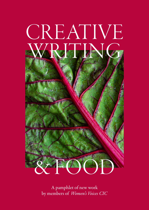

A pamphlet of new work by members of *Women's Voices CIC*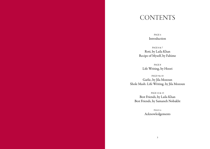### **CONTENTS**

PAGE 4 Introduction

PAGE 6 & 7 Roti, by Laila Khan Recipe of Myself, by Fahime

PAGE 8 Life Writing, by Hoori

PAGE 9 & 10 Garlic, by Jila Mozoun Shole Mash: Life Writing, by Jila Mozoun

PAGE 12 & 13 Best Friends, by Laila Khan Best Friends, by Samaneh Nobakht

> PAGE 14 Acknowledgements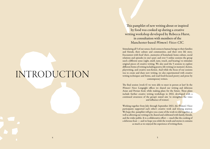# INTRODUCTION

This pamphlet of new writing about or inspired by food was cooked up during a creative writing workshop developed by Rebecca Hurst, in consultation with members of the Manchester-based *Women's Voices CIC.* 

Stimulating all 5 of our senses, food connects human beings to their families and friends, their culture and communities, and their own life story. Encounters with food 'elicit…memories of homeland, home culture, social relations and episodes in one's past', and over 5 online sessions the group used a different sense (sight, smell, taste, touch, and hearing) to stimulate original pieces of creative writing. We also used the 5 sessions to explore different forms of writing including poetry, life writing (or memoir), fiction, playwriting, and creative non-fiction. And while the focus of our sessions was to create and share new writing, we also experimented with creative writing techniques and forms, and read food-focused poetry and prose by contemporary writers.

The final session (week 6) we were able to meet in person at last! In the *Women's Voices* Longsight offices we shared our writing and delicious Asian and Persian food, while making plans for the future. These plans include further creative writing workshops in 2022, developed with a continued awareness of the group's stated aim 'to strengthen the voice and influence of women'.

Working together from July through September 2021, the *Women's Voices* participants supported each other's creative work and writing journey. We hope this pamphlet will give you a taste of the work we did together, as well as allowing our writing to be shared and celebrated with family, friends, and the wider public. It is a collaborative effort — much like the cooking of a delicious feast — and we hope you relish the words and stories it contains as much as we enjoyed the experience of writing them.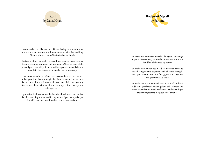### Roti by Laila Khan



No one makes roti like my sister Uzma. Eating them reminds me of the first time my mum and I went to see her after her wedding. She was alone at home. She invited us for lunch.

Roti are made of flour, salt, yeast, and warm water. Uzma kneaded the dough, adding salt, yeast, and warm water. She then covered the pot and put it in sunlight in her small back yard, so it could rise and double in size. After two hours the dough was ready.

I had never seen the pan Uzma used to cook the roti. Her motherin-law gave it to her and taught her how to use it. The pan was like an oven. The roti Uzma made were soft, fluffy, and yummy. She served them with salad and chutney, chicken curry, and ladyfinger curry.

I got so inspired, as that was the first time I had tasted roti cooked like that, smelling of yeast and feeling so soft. I got that special pan from Pakistan for myself, so that I could make roti too.

To make one Fahime you need: 2 kilograms of energy, 1 spoon of sweetness, 3 sprinkles of imagination, and 9 handfuls of chopped up power.

To make one Anna? You need to use your hands to mix the ingredients together with all your strength. Pour your energy inside the food, grate it all together, and garnish with a smile.

To make one Amin you will need 3 tons of kindness. Add some gentleness. Mix in gallons of hard work and knead to perfection. I said perfection! And don't forget the final ingredient: a big bunch of bananas!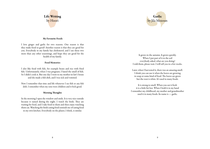

## Garlic by Jila Mozoun

#### My Favourite Foods

I love ginger and garlic for two reasons. One reason is that they make food so good! Another reason is that they are good for you. Everybody in my family has cholesterol, and I use these two more than any other seasonings, and hope they are good for the health of my family.

#### Food Memories

I also like food with fish, for example beans and rice with fried fish. Unfortunately, when I was pregnant, I hated the smell of fish. So I didn't cook it. But one day I went to my mother-in-law's house and she made a fish dish, and I was sick and vomited.

Now I remember that time and life whenever I see fish or any fish dish. I remember when my sons were children and it feels good.

#### Morning Thoughts

In the morning I open the window and smile. It is very nice outside because it rained during the night. I watch the birds. They are waiting for food, and I take food to them and then enjoy watching them eat. Watching the birds eating food reminds me of eating food in my own kitchen. Everybody on the planet, I think, is similar.

It grows in the autumn. It grows quickly. When I put part of it in the soil everybody asked, what are you doing? I told them, please wait. I will tell you in a few weeks.

Later, when I harvested it, there was an amazing smell. I think you can use it when the leaves are growing in soup or some kind of food. The leaves are green but the root is white. It's used in many foods.

It is strong to smell. When you eat it fresh it is a little bit hot. When I hold it in my hand I remember my childhood; my mother and grandmother used it in many foods. Its name is — garlic.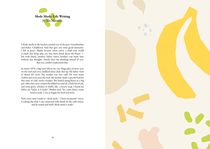

I think smells in the kitchen remind you of the past. Grandmother and father. Childhood. And they give you some good memories. I felt at peace. Maybe because when you're a child your world is small. Just sleep, play, eat. You don't think about the future but with family (mother, father, sisters, brother) you enjoy time without any thoughts. Family does the thinking instead of you. But you couldn't understand that.

In winter 1970, a big snow fell on my city. Huge piles of snow were on the roof and every landlord must clean that up. My father went to shovel the snow. The weather was very cold. He wore many clothes and went onto the roof. My mother made a special food for that time of cold, snowy weather. She boiled mung beans in a big pot. After they were cooked she added rice and oil, a little bit of salt, and some gravy (chicken or lamb), like a hearty soup. I heard my father say, 'Gilan, is it ready?' Mother said, 'Yes, come down, warm food is ready.' I was so happy for food and snow.

Now, every time I make it—shole mash —I hear my parents' voices. Cooking this dish, I am connected with family by the cold winter, and by sound and smell. Shole mash is ready!

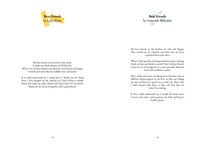



My best friends in the kitchen are Salt and Pepper. They remind me of a brother and sister who are never separated from each other.

When I wake up in the morning and want to start cooking, I look at them and think to myself. Then I tell my friends, 'Guys we can work together as a team and make delicious food with confidence today.'

Their smells and tastes are like good or bad days. Just as different things happen in our lives, so they can change my taste of food in a good way or bad way. That's why I make friends with them, so they will look after me when I'm cooking.

If they could understand me I would tell them never to leave each other, and to protect my body and keep it healthy, please.

My best friend in the kitchen is the kettle. It makes me think of pasta and boiled rice. When I see my best friend in the kitchen I feel relaxed and happy. It smells and tastes like hot, bubbly water and steam.

If it could understand me I would tell it: "Thank you for being there. I can't imagine my life without you. You're always a reliable friend that helps me make dinner and lunch faster for my family. Thank you for always being there like a good friend."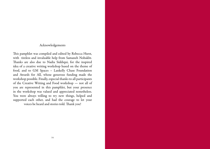### Acknowledgements

This pamphlet was compiled and edited by Rebecca Hurst, with tireless and invaluable help from Samaneh Nobakht. Thanks are also due to Nadia Siddiqui, for the inspired idea of a creative writing workshop based on the theme of food, and to GM Spaces – Lankelly Chase Foundation and Awards for All, whose generous funding made the workshop possible. Finally, especial thanks to all participants of the Creative Writing and Food workshop — not all of you are represented in this pamphlet, but your presence in the workshop was valued and appreciated nonetheless. You were always willing to try new things, helped and supported each other, and had the courage to let your voices be heard and stories told. Thank you!